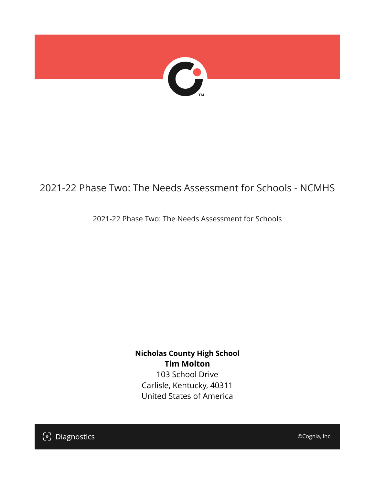

## 2021-22 Phase Two: The Needs Assessment for Schools - NCMHS

2021-22 Phase Two: The Needs Assessment for Schools

**Nicholas County High School Tim Molton** 103 School Drive Carlisle, Kentucky, 40311 United States of America

[၁] Diagnostics

©Cognia, Inc.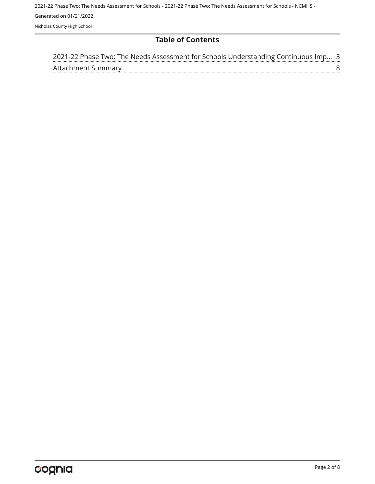#### **Table of Contents**

| 2021-22 Phase Two: The Needs Assessment for Schools Understanding Continuous Imp 3 |  |
|------------------------------------------------------------------------------------|--|
| Attachment Summary                                                                 |  |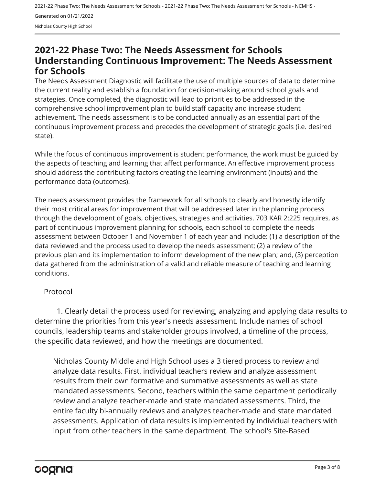### <span id="page-2-0"></span>**2021-22 Phase Two: The Needs Assessment for Schools Understanding Continuous Improvement: The Needs Assessment for Schools**

The Needs Assessment Diagnostic will facilitate the use of multiple sources of data to determine the current reality and establish a foundation for decision-making around school goals and strategies. Once completed, the diagnostic will lead to priorities to be addressed in the comprehensive school improvement plan to build staff capacity and increase student achievement. The needs assessment is to be conducted annually as an essential part of the continuous improvement process and precedes the development of strategic goals (i.e. desired state).

While the focus of continuous improvement is student performance, the work must be guided by the aspects of teaching and learning that affect performance. An effective improvement process should address the contributing factors creating the learning environment (inputs) and the performance data (outcomes).

The needs assessment provides the framework for all schools to clearly and honestly identify their most critical areas for improvement that will be addressed later in the planning process through the development of goals, objectives, strategies and activities. 703 KAR 2:225 requires, as part of continuous improvement planning for schools, each school to complete the needs assessment between October 1 and November 1 of each year and include: (1) a description of the data reviewed and the process used to develop the needs assessment; (2) a review of the previous plan and its implementation to inform development of the new plan; and, (3) perception data gathered from the administration of a valid and reliable measure of teaching and learning conditions.

#### Protocol

1. Clearly detail the process used for reviewing, analyzing and applying data results to determine the priorities from this year's needs assessment. Include names of school councils, leadership teams and stakeholder groups involved, a timeline of the process, the specific data reviewed, and how the meetings are documented.

Nicholas County Middle and High School uses a 3 tiered process to review and analyze data results. First, individual teachers review and analyze assessment results from their own formative and summative assessments as well as state mandated assessments. Second, teachers within the same department periodically review and analyze teacher-made and state mandated assessments. Third, the entire faculty bi-annually reviews and analyzes teacher-made and state mandated assessments. Application of data results is implemented by individual teachers with input from other teachers in the same department. The school's Site-Based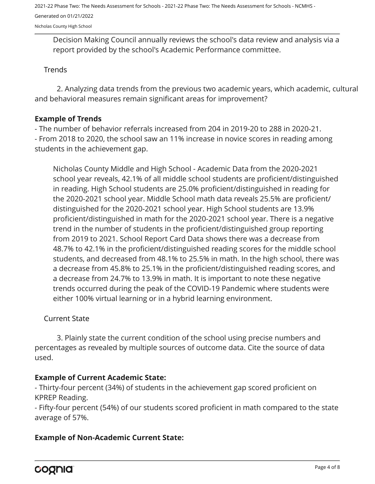2021-22 Phase Two: The Needs Assessment for Schools - 2021-22 Phase Two: The Needs Assessment for Schools - NCMHS - Generated on 01/21/2022

Nicholas County High School

Decision Making Council annually reviews the school's data review and analysis via a report provided by the school's Academic Performance committee.

#### **Trends**

2. Analyzing data trends from the previous two academic years, which academic, cultural and behavioral measures remain significant areas for improvement?

#### **Example of Trends**

- The number of behavior referrals increased from 204 in 2019-20 to 288 in 2020-21.

- From 2018 to 2020, the school saw an 11% increase in novice scores in reading among students in the achievement gap.

Nicholas County Middle and High School - Academic Data from the 2020-2021 school year reveals, 42.1% of all middle school students are proficient/distinguished in reading. High School students are 25.0% proficient/distinguished in reading for the 2020-2021 school year. Middle School math data reveals 25.5% are proficient/ distinguished for the 2020-2021 school year. High School students are 13.9% proficient/distinguished in math for the 2020-2021 school year. There is a negative trend in the number of students in the proficient/distinguished group reporting from 2019 to 2021. School Report Card Data shows there was a decrease from 48.7% to 42.1% in the proficient/distinguished reading scores for the middle school students, and decreased from 48.1% to 25.5% in math. In the high school, there was a decrease from 45.8% to 25.1% in the proficient/distinguished reading scores, and a decrease from 24.7% to 13.9% in math. It is important to note these negative trends occurred during the peak of the COVID-19 Pandemic where students were either 100% virtual learning or in a hybrid learning environment.

#### Current State

3. Plainly state the current condition of the school using precise numbers and percentages as revealed by multiple sources of outcome data. Cite the source of data used.

#### **Example of Current Academic State:**

- Thirty-four percent (34%) of students in the achievement gap scored proficient on KPREP Reading.

- Fifty-four percent (54%) of our students scored proficient in math compared to the state average of 57%.

#### **Example of Non-Academic Current State:**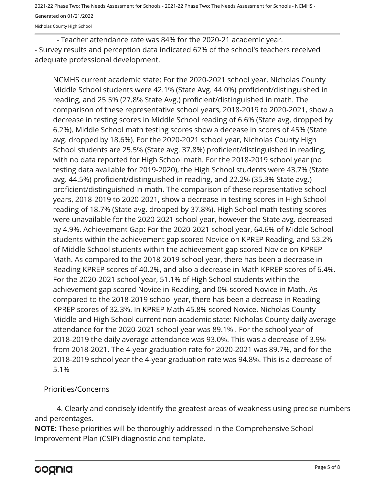2021-22 Phase Two: The Needs Assessment for Schools - 2021-22 Phase Two: The Needs Assessment for Schools - NCMHS - Generated on 01/21/2022

Nicholas County High School

- Teacher attendance rate was 84% for the 2020-21 academic year. - Survey results and perception data indicated 62% of the school's teachers received adequate professional development.

NCMHS current academic state: For the 2020-2021 school year, Nicholas County Middle School students were 42.1% (State Avg. 44.0%) proficient/distinguished in reading, and 25.5% (27.8% State Avg.) proficient/distinguished in math. The comparison of these representative school years, 2018-2019 to 2020-2021, show a decrease in testing scores in Middle School reading of 6.6% (State avg. dropped by 6.2%). Middle School math testing scores show a decease in scores of 45% (State avg. dropped by 18.6%). For the 2020-2021 school year, Nicholas County High School students are 25.5% (State avg. 37.8%) proficient/distinguished in reading, with no data reported for High School math. For the 2018-2019 school year (no testing data available for 2019-2020), the High School students were 43.7% (State avg. 44.5%) proficient/distinguished in reading, and 22.2% (35.3% State avg.) proficient/distinguished in math. The comparison of these representative school years, 2018-2019 to 2020-2021, show a decrease in testing scores in High School reading of 18.7% (State avg. dropped by 37.8%). High School math testing scores were unavailable for the 2020-2021 school year, however the State avg. decreased by 4.9%. Achievement Gap: For the 2020-2021 school year, 64.6% of Middle School students within the achievement gap scored Novice on KPREP Reading, and 53.2% of Middle School students within the achievement gap scored Novice on KPREP Math. As compared to the 2018-2019 school year, there has been a decrease in Reading KPREP scores of 40.2%, and also a decrease in Math KPREP scores of 6.4%. For the 2020-2021 school year, 51.1% of High School students within the achievement gap scored Novice in Reading, and 0% scored Novice in Math. As compared to the 2018-2019 school year, there has been a decrease in Reading KPREP scores of 32.3%. In KPREP Math 45.8% scored Novice. Nicholas County Middle and High School current non-academic state: Nicholas County daily average attendance for the 2020-2021 school year was 89.1% . For the school year of 2018-2019 the daily average attendance was 93.0%. This was a decrease of 3.9% from 2018-2021. The 4-year graduation rate for 2020-2021 was 89.7%, and for the 2018-2019 school year the 4-year graduation rate was 94.8%. This is a decrease of 5.1%

Priorities/Concerns

4. Clearly and concisely identify the greatest areas of weakness using precise numbers and percentages.

**NOTE:** These priorities will be thoroughly addressed in the Comprehensive School Improvement Plan (CSIP) diagnostic and template.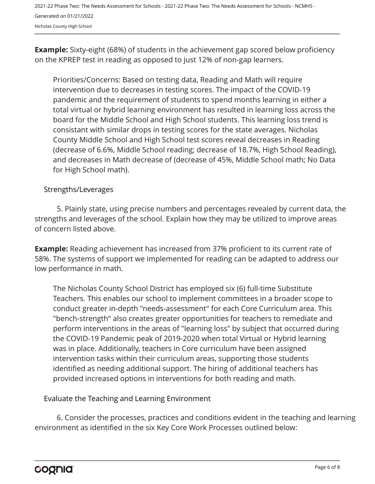**Example:** Sixty-eight (68%) of students in the achievement gap scored below proficiency on the KPREP test in reading as opposed to just 12% of non-gap learners.

Priorities/Concerns: Based on testing data, Reading and Math will require intervention due to decreases in testing scores. The impact of the COVID-19 pandemic and the requirement of students to spend months learning in either a total virtual or hybrid learning environment has resulted in learning loss across the board for the Middle School and High School students. This learning loss trend is consistant with similar drops in testing scores for the state averages. Nicholas County Middle School and High School test scores reveal decreases in Reading (decrease of 6.6%, Middle School reading; decrease of 18.7%, High School Reading), and decreases in Math decrease of (decrease of 45%, Middle School math; No Data for High School math).

#### Strengths/Leverages

5. Plainly state, using precise numbers and percentages revealed by current data, the strengths and leverages of the school. Explain how they may be utilized to improve areas of concern listed above.

**Example:** Reading achievement has increased from 37% proficient to its current rate of 58%. The systems of support we implemented for reading can be adapted to address our low performance in math.

The Nicholas County School District has employed six (6) full-time Substitute Teachers. This enables our school to implement committees in a broader scope to conduct greater in-depth "needs-assessment" for each Core Curriculum area. This "bench-strength" also creates greater opportunities for teachers to remediate and perform interventions in the areas of "learning loss" by subject that occurred during the COVID-19 Pandemic peak of 2019-2020 when total Virtual or Hybrid learning was in place. Additionally, teachers in Core curriculum have been assigned intervention tasks within their curriculum areas, supporting those students identified as needing additional support. The hiring of additional teachers has provided increased options in interventions for both reading and math.

Evaluate the Teaching and Learning Environment

6. Consider the processes, practices and conditions evident in the teaching and learning environment as identified in the six Key Core Work Processes outlined below: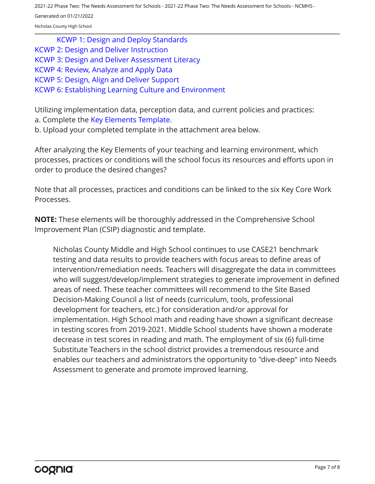2021-22 Phase Two: The Needs Assessment for Schools - 2021-22 Phase Two: The Needs Assessment for Schools - NCMHS -

Generated on 01/21/2022

Nicholas County High School

[KCWP 1: Design and Deploy Standards](https://education.ky.gov/school/csip/Documents/KCWP%201%20Strategic%20Design%20and%20Deploy%20Standards.pdf)

- [KCWP 2: Design and Deliver Instruction](https://education.ky.gov/school/csip/Documents/KCWP%202%20Strategic%20Design%20and%20Deliver%20Instruction.pdf)
- [KCWP 3: Design and Deliver Assessment Literacy](https://education.ky.gov/school/csip/Documents/KCWP%203%20Strategic%20Design%20and%20Deliver%20Assessment%20Literacy.pdf)
- [KCWP 4: Review, Analyze and Apply Data](https://education.ky.gov/school/csip/Documents/KCWP%204%20Strategic%20Review%20Analyze%20and%20Apply%20Data.pdf)
- [KCWP 5: Design, Align and Deliver Support](https://education.ky.gov/school/csip/Documents/KCWP%205%20Strategic%20Design%20Align%20Deliver%20Support%20Processes.pdf)

#### [KCWP 6: Establishing Learning Culture and Environment](https://education.ky.gov/school/csip/Documents/KCWP%206%20Strategic%20Establish%20Learning%20Culture%20and%20Environment.pdf)

Utilizing implementation data, perception data, and current policies and practices: a. Complete the [Key Elements Template.](https://education.ky.gov/school/csip/Documents/School%20Key%20Elements%20Template.docx)

b. Upload your completed template in the attachment area below.

After analyzing the Key Elements of your teaching and learning environment, which processes, practices or conditions will the school focus its resources and efforts upon in order to produce the desired changes?

Note that all processes, practices and conditions can be linked to the six Key Core Work Processes.

**NOTE:** These elements will be thoroughly addressed in the Comprehensive School Improvement Plan (CSIP) diagnostic and template.

Nicholas County Middle and High School continues to use CASE21 benchmark testing and data results to provide teachers with focus areas to define areas of intervention/remediation needs. Teachers will disaggregate the data in committees who will suggest/develop/implement strategies to generate improvement in defined areas of need. These teacher committees will recommend to the Site Based Decision-Making Council a list of needs (curriculum, tools, professional development for teachers, etc.) for consideration and/or approval for implementation. High School math and reading have shown a significant decrease in testing scores from 2019-2021. Middle School students have shown a moderate decrease in test scores in reading and math. The employment of six (6) full-time Substitute Teachers in the school district provides a tremendous resource and enables our teachers and administrators the opportunity to "dive-deep" into Needs Assessment to generate and promote improved learning.